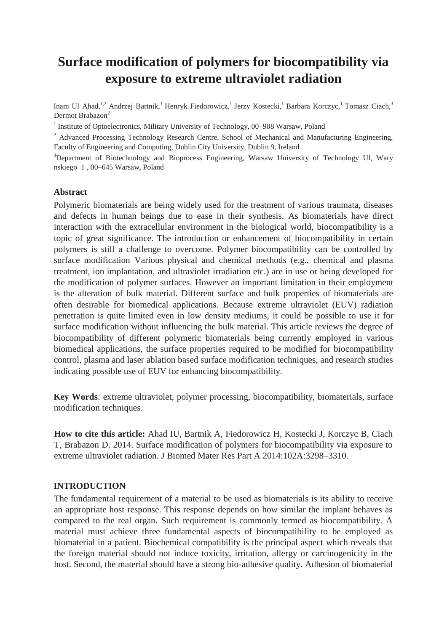# **Surface modification of polymers for biocompatibility via exposure to extreme ultraviolet radiation**

Inam Ul Ahad,<sup>1,2</sup> Andrzej Bartnik,<sup>1</sup> Henryk Fiedorowicz,<sup>1</sup> Jerzy Kostecki,<sup>1</sup> Barbara Korczyc,<sup>1</sup> Tomasz Ciach,<sup>3</sup> Dermot Brabazon<sup>2</sup>

<sup>1</sup> Institute of Optoelectronics, Military University of Technology, 00–908 Warsaw, Poland

<sup>2</sup> Advanced Processing Technology Research Centre, School of Mechanical and Manufacturing Engineering, Faculty of Engineering and Computing, Dublin City University, Dublin 9, Ireland

<sup>3</sup>Department of Biotechnology and Bioprocess Engineering, Warsaw University of Technology Ul, Wary nskiego 1 , 00–645 Warsaw, Poland

### **Abstract**

Polymeric biomaterials are being widely used for the treatment of various traumata, diseases and defects in human beings due to ease in their synthesis. As biomaterials have direct interaction with the extracellular environment in the biological world, biocompatibility is a topic of great significance. The introduction or enhancement of biocompatibility in certain polymers is still a challenge to overcome. Polymer biocompatibility can be controlled by surface modification Various physical and chemical methods (e.g., chemical and plasma treatment, ion implantation, and ultraviolet irradiation etc.) are in use or being developed for the modification of polymer surfaces. However an important limitation in their employment is the alteration of bulk material. Different surface and bulk properties of biomaterials are often desirable for biomedical applications. Because extreme ultraviolet (EUV) radiation penetration is quite limited even in low density mediums, it could be possible to use it for surface modification without influencing the bulk material. This article reviews the degree of biocompatibility of different polymeric biomaterials being currently employed in various biomedical applications, the surface properties required to be modified for biocompatibility control, plasma and laser ablation based surface modification techniques, and research studies indicating possible use of EUV for enhancing biocompatibility.

**Key Words**: extreme ultraviolet, polymer processing, biocompatibility, biomaterials, surface modification techniques.

**How to cite this article:** Ahad IU, Bartnik A, Fiedorowicz H, Kostecki J, Korczyc B, Ciach T, Brabazon D. 2014. Surface modification of polymers for biocompatibility via exposure to extreme ultraviolet radiation. J Biomed Mater Res Part A 2014:102A:3298–3310.

### **INTRODUCTION**

The fundamental requirement of a material to be used as biomaterials is its ability to receive an appropriate host response. This response depends on how similar the implant behaves as compared to the real organ. Such requirement is commonly termed as biocompatibility. A material must achieve three fundamental aspects of biocompatibility to be employed as biomaterial in a patient. Biochemical compatibility is the principal aspect which reveals that the foreign material should not induce toxicity, irritation, allergy or carcinogenicity in the host. Second, the material should have a strong bio-adhesive quality. Adhesion of biomaterial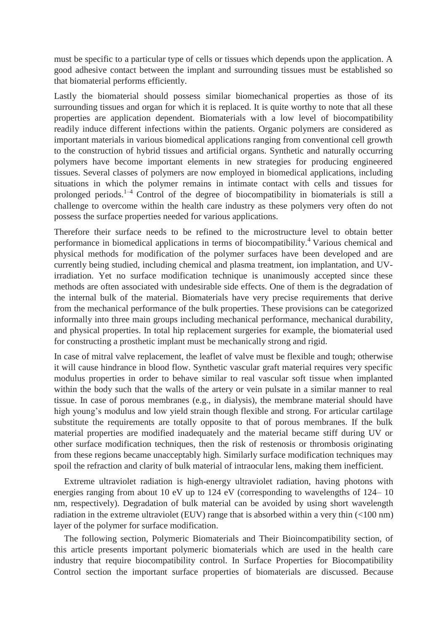must be specific to a particular type of cells or tissues which depends upon the application. A good adhesive contact between the implant and surrounding tissues must be established so that biomaterial performs efficiently.

Lastly the biomaterial should possess similar biomechanical properties as those of its surrounding tissues and organ for which it is replaced. It is quite worthy to note that all these properties are application dependent. Biomaterials with a low level of biocompatibility readily induce different infections within the patients. Organic polymers are considered as important materials in various biomedical applications ranging from conventional cell growth to the construction of hybrid tissues and artificial organs. Synthetic and naturally occurring polymers have become important elements in new strategies for producing engineered tissues. Several classes of polymers are now employed in biomedical applications, including situations in which the polymer remains in intimate contact with cells and tissues for prolonged periods.<sup>1–4</sup> Control of the degree of biocompatibility in biomaterials is still a challenge to overcome within the health care industry as these polymers very often do not possess the surface properties needed for various applications.

Therefore their surface needs to be refined to the microstructure level to obtain better performance in biomedical applications in terms of biocompatibility.<sup>4</sup> Various chemical and physical methods for modification of the polymer surfaces have been developed and are currently being studied, including chemical and plasma treatment, ion implantation, and UVirradiation. Yet no surface modification technique is unanimously accepted since these methods are often associated with undesirable side effects. One of them is the degradation of the internal bulk of the material. Biomaterials have very precise requirements that derive from the mechanical performance of the bulk properties. These provisions can be categorized informally into three main groups including mechanical performance, mechanical durability, and physical properties. In total hip replacement surgeries for example, the biomaterial used for constructing a prosthetic implant must be mechanically strong and rigid.

In case of mitral valve replacement, the leaflet of valve must be flexible and tough; otherwise it will cause hindrance in blood flow. Synthetic vascular graft material requires very specific modulus properties in order to behave similar to real vascular soft tissue when implanted within the body such that the walls of the artery or vein pulsate in a similar manner to real tissue. In case of porous membranes (e.g., in dialysis), the membrane material should have high young's modulus and low yield strain though flexible and strong. For articular cartilage substitute the requirements are totally opposite to that of porous membranes. If the bulk material properties are modified inadequately and the material became stiff during UV or other surface modification techniques, then the risk of restenosis or thrombosis originating from these regions became unacceptably high. Similarly surface modification techniques may spoil the refraction and clarity of bulk material of intraocular lens, making them inefficient.

Extreme ultraviolet radiation is high-energy ultraviolet radiation, having photons with energies ranging from about 10 eV up to 124 eV (corresponding to wavelengths of 124– 10 nm, respectively). Degradation of bulk material can be avoided by using short wavelength radiation in the extreme ultraviolet (EUV) range that is absorbed within a very thin (<100 nm) layer of the polymer for surface modification.

The following section, Polymeric Biomaterials and Their Bioincompatibility section, of this article presents important polymeric biomaterials which are used in the health care industry that require biocompatibility control. In Surface Properties for Biocompatibility Control section the important surface properties of biomaterials are discussed. Because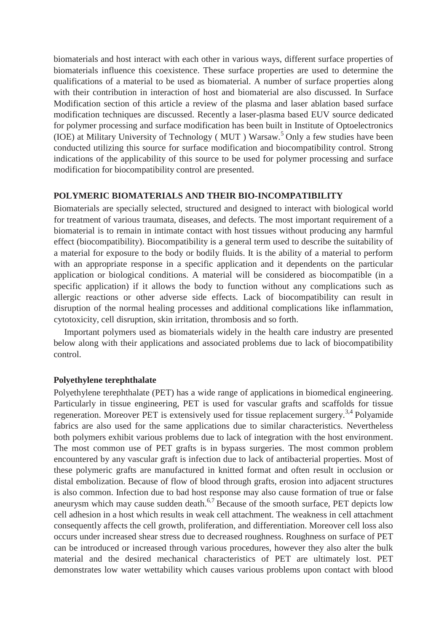biomaterials and host interact with each other in various ways, different surface properties of biomaterials influence this coexistence. These surface properties are used to determine the qualifications of a material to be used as biomaterial. A number of surface properties along with their contribution in interaction of host and biomaterial are also discussed. In Surface Modification section of this article a review of the plasma and laser ablation based surface modification techniques are discussed. Recently a laser-plasma based EUV source dedicated for polymer processing and surface modification has been built in Institute of Optoelectronics (IOE) at Military University of Technology ( $MUT$ ) Warsaw.<sup>5</sup> Only a few studies have been conducted utilizing this source for surface modification and biocompatibility control. Strong indications of the applicability of this source to be used for polymer processing and surface modification for biocompatibility control are presented.

#### **POLYMERIC BIOMATERIALS AND THEIR BIO-INCOMPATIBILITY**

Biomaterials are specially selected, structured and designed to interact with biological world for treatment of various traumata, diseases, and defects. The most important requirement of a biomaterial is to remain in intimate contact with host tissues without producing any harmful effect (biocompatibility). Biocompatibility is a general term used to describe the suitability of a material for exposure to the body or bodily fluids. It is the ability of a material to perform with an appropriate response in a specific application and it dependents on the particular application or biological conditions. A material will be considered as biocompatible (in a specific application) if it allows the body to function without any complications such as allergic reactions or other adverse side effects. Lack of biocompatibility can result in disruption of the normal healing processes and additional complications like inflammation, cytotoxicity, cell disruption, skin irritation, thrombosis and so forth.

Important polymers used as biomaterials widely in the health care industry are presented below along with their applications and associated problems due to lack of biocompatibility control.

### **Polyethylene terephthalate**

Polyethylene terephthalate (PET) has a wide range of applications in biomedical engineering. Particularly in tissue engineering, PET is used for vascular grafts and scaffolds for tissue regeneration. Moreover PET is extensively used for tissue replacement surgery.<sup>3,4</sup> Polyamide fabrics are also used for the same applications due to similar characteristics. Nevertheless both polymers exhibit various problems due to lack of integration with the host environment. The most common use of PET grafts is in bypass surgeries. The most common problem encountered by any vascular graft is infection due to lack of antibacterial properties. Most of these polymeric grafts are manufactured in knitted format and often result in occlusion or distal embolization. Because of flow of blood through grafts, erosion into adjacent structures is also common. Infection due to bad host response may also cause formation of true or false aneurysm which may cause sudden death.<sup>6,7</sup> Because of the smooth surface, PET depicts low cell adhesion in a host which results in weak cell attachment. The weakness in cell attachment consequently affects the cell growth, proliferation, and differentiation. Moreover cell loss also occurs under increased shear stress due to decreased roughness. Roughness on surface of PET can be introduced or increased through various procedures, however they also alter the bulk material and the desired mechanical characteristics of PET are ultimately lost. PET demonstrates low water wettability which causes various problems upon contact with blood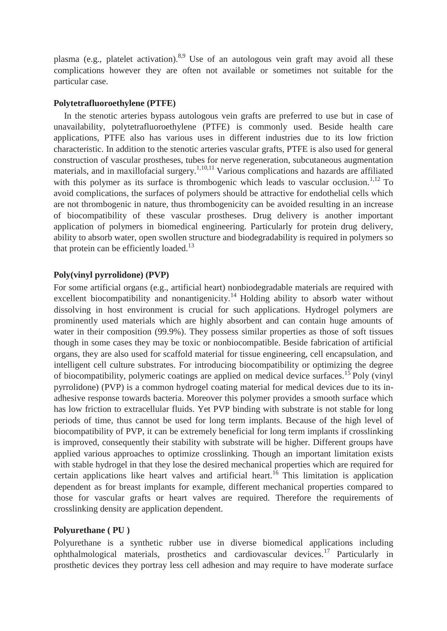plasma (e.g., platelet activation).<sup>8,9</sup> Use of an autologous vein graft may avoid all these complications however they are often not available or sometimes not suitable for the particular case.

### **Polytetrafluoroethylene (PTFE)**

In the stenotic arteries bypass autologous vein grafts are preferred to use but in case of unavailability, polytetrafluoroethylene (PTFE) is commonly used. Beside health care applications, PTFE also has various uses in different industries due to its low friction characteristic. In addition to the stenotic arteries vascular grafts, PTFE is also used for general construction of vascular prostheses, tubes for nerve regeneration, subcutaneous augmentation materials, and in maxillofacial surgery.<sup>1,10,11</sup> Various complications and hazards are affiliated with this polymer as its surface is thrombogenic which leads to vascular occlusion.<sup>1,12</sup> To avoid complications, the surfaces of polymers should be attractive for endothelial cells which are not thrombogenic in nature, thus thrombogenicity can be avoided resulting in an increase of biocompatibility of these vascular prostheses. Drug delivery is another important application of polymers in biomedical engineering. Particularly for protein drug delivery, ability to absorb water, open swollen structure and biodegradability is required in polymers so that protein can be efficiently loaded.<sup>13</sup>

### **Poly(vinyl pyrrolidone) (PVP)**

For some artificial organs (e.g., artificial heart) nonbiodegradable materials are required with excellent biocompatibility and nonantigenicity.<sup>14</sup> Holding ability to absorb water without dissolving in host environment is crucial for such applications. Hydrogel polymers are prominently used materials which are highly absorbent and can contain huge amounts of water in their composition (99.9%). They possess similar properties as those of soft tissues though in some cases they may be toxic or nonbiocompatible. Beside fabrication of artificial organs, they are also used for scaffold material for tissue engineering, cell encapsulation, and intelligent cell culture substrates. For introducing biocompatibility or optimizing the degree of biocompatibility, polymeric coatings are applied on medical device surfaces.<sup>15</sup> Poly (vinyl) pyrrolidone) (PVP) is a common hydrogel coating material for medical devices due to its inadhesive response towards bacteria. Moreover this polymer provides a smooth surface which has low friction to extracellular fluids. Yet PVP binding with substrate is not stable for long periods of time, thus cannot be used for long term implants. Because of the high level of biocompatibility of PVP, it can be extremely beneficial for long term implants if crosslinking is improved, consequently their stability with substrate will be higher. Different groups have applied various approaches to optimize crosslinking. Though an important limitation exists with stable hydrogel in that they lose the desired mechanical properties which are required for certain applications like heart valves and artificial heart.<sup>16</sup> This limitation is application dependent as for breast implants for example, different mechanical properties compared to those for vascular grafts or heart valves are required. Therefore the requirements of crosslinking density are application dependent.

### **Polyurethane ( PU )**

Polyurethane is a synthetic rubber use in diverse biomedical applications including ophthalmological materials, prosthetics and cardiovascular devices.<sup>17</sup> Particularly in prosthetic devices they portray less cell adhesion and may require to have moderate surface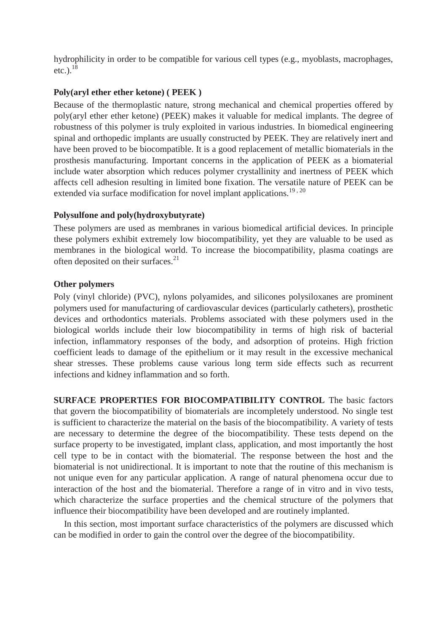hydrophilicity in order to be compatible for various cell types (e.g., myoblasts, macrophages, etc.). $^{18}$ 

# **Poly(aryl ether ether ketone) ( PEEK )**

Because of the thermoplastic nature, strong mechanical and chemical properties offered by poly(aryl ether ether ketone) (PEEK) makes it valuable for medical implants. The degree of robustness of this polymer is truly exploited in various industries. In biomedical engineering spinal and orthopedic implants are usually constructed by PEEK. They are relatively inert and have been proved to be biocompatible. It is a good replacement of metallic biomaterials in the prosthesis manufacturing. Important concerns in the application of PEEK as a biomaterial include water absorption which reduces polymer crystallinity and inertness of PEEK which affects cell adhesion resulting in limited bone fixation. The versatile nature of PEEK can be extended via surface modification for novel implant applications.<sup>19, 20</sup>

## **Polysulfone and poly(hydroxybutyrate)**

These polymers are used as membranes in various biomedical artificial devices. In principle these polymers exhibit extremely low biocompatibility, yet they are valuable to be used as membranes in the biological world. To increase the biocompatibility, plasma coatings are often deposited on their surfaces.<sup>21</sup>

## **Other polymers**

Poly (vinyl chloride) (PVC), nylons polyamides, and silicones polysiloxanes are prominent polymers used for manufacturing of cardiovascular devices (particularly catheters), prosthetic devices and orthodontics materials. Problems associated with these polymers used in the biological worlds include their low biocompatibility in terms of high risk of bacterial infection, inflammatory responses of the body, and adsorption of proteins. High friction coefficient leads to damage of the epithelium or it may result in the excessive mechanical shear stresses. These problems cause various long term side effects such as recurrent infections and kidney inflammation and so forth.

**SURFACE PROPERTIES FOR BIOCOMPATIBILITY CONTROL** The basic factors that govern the biocompatibility of biomaterials are incompletely understood. No single test is sufficient to characterize the material on the basis of the biocompatibility. A variety of tests are necessary to determine the degree of the biocompatibility. These tests depend on the surface property to be investigated, implant class, application, and most importantly the host cell type to be in contact with the biomaterial. The response between the host and the biomaterial is not unidirectional. It is important to note that the routine of this mechanism is not unique even for any particular application. A range of natural phenomena occur due to interaction of the host and the biomaterial. Therefore a range of in vitro and in vivo tests, which characterize the surface properties and the chemical structure of the polymers that influence their biocompatibility have been developed and are routinely implanted.

In this section, most important surface characteristics of the polymers are discussed which can be modified in order to gain the control over the degree of the biocompatibility.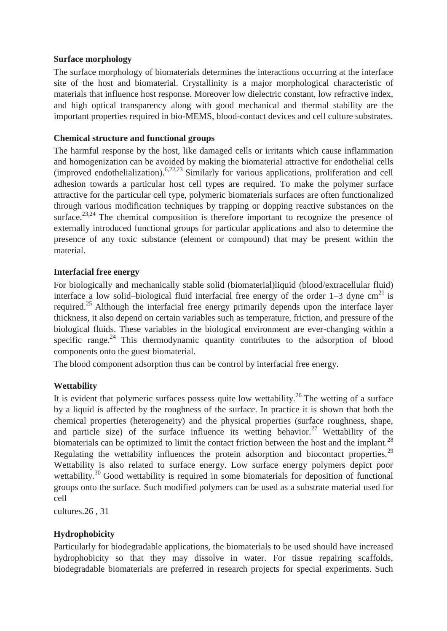## **Surface morphology**

The surface morphology of biomaterials determines the interactions occurring at the interface site of the host and biomaterial. Crystallinity is a major morphological characteristic of materials that influence host response. Moreover low dielectric constant, low refractive index, and high optical transparency along with good mechanical and thermal stability are the important properties required in bio-MEMS, blood-contact devices and cell culture substrates.

# **Chemical structure and functional groups**

The harmful response by the host, like damaged cells or irritants which cause inflammation and homogenization can be avoided by making the biomaterial attractive for endothelial cells (improved endothelialization).6,22,23 Similarly for various applications, proliferation and cell adhesion towards a particular host cell types are required. To make the polymer surface attractive for the particular cell type, polymeric biomaterials surfaces are often functionalized through various modification techniques by trapping or dopping reactive substances on the surface.<sup>23,24</sup> The chemical composition is therefore important to recognize the presence of externally introduced functional groups for particular applications and also to determine the presence of any toxic substance (element or compound) that may be present within the material.

# **Interfacial free energy**

For biologically and mechanically stable solid (biomaterial)liquid (blood/extracellular fluid) interface a low solid–biological fluid interfacial free energy of the order  $1-3$  dyne cm<sup>21</sup> is required.<sup>25</sup> Although the interfacial free energy primarily depends upon the interface layer thickness, it also depend on certain variables such as temperature, friction, and pressure of the biological fluids. These variables in the biological environment are ever-changing within a specific range.<sup>24</sup> This thermodynamic quantity contributes to the adsorption of blood components onto the guest biomaterial.

The blood component adsorption thus can be control by interfacial free energy.

# **Wettability**

It is evident that polymeric surfaces possess quite low wettability.<sup>26</sup> The wetting of a surface by a liquid is affected by the roughness of the surface. In practice it is shown that both the chemical properties (heterogeneity) and the physical properties (surface roughness, shape, and particle size) of the surface influence its wetting behavior.<sup>27</sup> Wettability of the biomaterials can be optimized to limit the contact friction between the host and the implant.<sup>28</sup> Regulating the wettability influences the protein adsorption and biocontact properties.<sup>29</sup> Wettability is also related to surface energy. Low surface energy polymers depict poor wettability.<sup>30</sup> Good wettability is required in some biomaterials for deposition of functional groups onto the surface. Such modified polymers can be used as a substrate material used for cell

cultures.26 , 31

# **Hydrophobicity**

Particularly for biodegradable applications, the biomaterials to be used should have increased hydrophobicity so that they may dissolve in water. For tissue repairing scaffolds, biodegradable biomaterials are preferred in research projects for special experiments. Such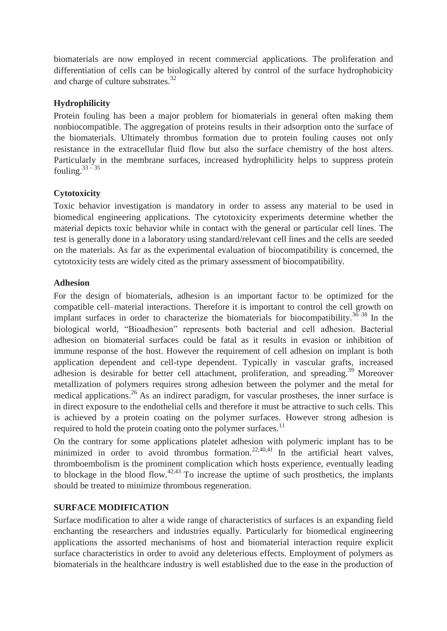biomaterials are now employed in recent commercial applications. The proliferation and differentiation of cells can be biologically altered by control of the surface hydrophobicity and charge of culture substrates. $32$ 

# **Hydrophilicity**

Protein fouling has been a major problem for biomaterials in general often making them nonbiocompatible. The aggregation of proteins results in their adsorption onto the surface of the biomaterials. Ultimately thrombus formation due to protein fouling causes not only resistance in the extracellular fluid flow but also the surface chemistry of the host alters. Particularly in the membrane surfaces, increased hydrophilicity helps to suppress protein fouling. $33 - 35$ 

# **Cytotoxicity**

Toxic behavior investigation is mandatory in order to assess any material to be used in biomedical engineering applications. The cytotoxicity experiments determine whether the material depicts toxic behavior while in contact with the general or particular cell lines. The test is generally done in a laboratory using standard/relevant cell lines and the cells are seeded on the materials. As far as the experimental evaluation of biocompatibility is concerned, the cytotoxicity tests are widely cited as the primary assessment of biocompatibility.

# **Adhesion**

For the design of biomaterials, adhesion is an important factor to be optimized for the compatible cell–material interactions. Therefore it is important to control the cell growth on implant surfaces in order to characterize the biomaterials for biocompatibility.<sup>36–38</sup> In the biological world, "Bioadhesion" represents both bacterial and cell adhesion. Bacterial adhesion on biomaterial surfaces could be fatal as it results in evasion or inhibition of immune response of the host. However the requirement of cell adhesion on implant is both application dependent and cell-type dependent. Typically in vascular grafts, increased adhesion is desirable for better cell attachment, proliferation, and spreading.<sup>39</sup> Moreover metallization of polymers requires strong adhesion between the polymer and the metal for medical applications.<sup>26</sup> As an indirect paradigm, for vascular prostheses, the inner surface is in direct exposure to the endothelial cells and therefore it must be attractive to such cells. This is achieved by a protein coating on the polymer surfaces. However strong adhesion is required to hold the protein coating onto the polymer surfaces.<sup>11</sup>

On the contrary for some applications platelet adhesion with polymeric implant has to be minimized in order to avoid thrombus formation.<sup>22,40,41</sup> In the artificial heart valves, thromboembolism is the prominent complication which hosts experience, eventually leading to blockage in the blood flow.<sup>42,43</sup> To increase the uptime of such prosthetics, the implants should be treated to minimize thrombous regeneration.

# **SURFACE MODIFICATION**

Surface modification to alter a wide range of characteristics of surfaces is an expanding field enchanting the researchers and industries equally. Particularly for biomedical engineering applications the assorted mechanisms of host and biomaterial interaction require explicit surface characteristics in order to avoid any deleterious effects. Employment of polymers as biomaterials in the healthcare industry is well established due to the ease in the production of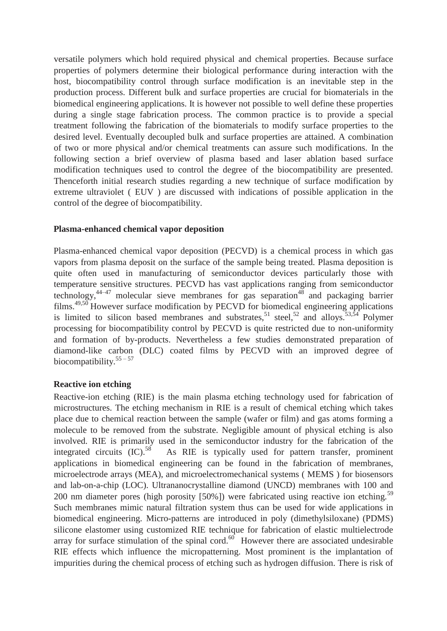versatile polymers which hold required physical and chemical properties. Because surface properties of polymers determine their biological performance during interaction with the host, biocompatibility control through surface modification is an inevitable step in the production process. Different bulk and surface properties are crucial for biomaterials in the biomedical engineering applications. It is however not possible to well define these properties during a single stage fabrication process. The common practice is to provide a special treatment following the fabrication of the biomaterials to modify surface properties to the desired level. Eventually decoupled bulk and surface properties are attained. A combination of two or more physical and/or chemical treatments can assure such modifications. In the following section a brief overview of plasma based and laser ablation based surface modification techniques used to control the degree of the biocompatibility are presented. Thenceforth initial research studies regarding a new technique of surface modification by extreme ultraviolet ( EUV ) are discussed with indications of possible application in the control of the degree of biocompatibility.

## **Plasma-enhanced chemical vapor deposition**

Plasma-enhanced chemical vapor deposition (PECVD) is a chemical process in which gas vapors from plasma deposit on the surface of the sample being treated. Plasma deposition is quite often used in manufacturing of semiconductor devices particularly those with temperature sensitive structures. PECVD has vast applications ranging from semiconductor technology,<sup>44–47</sup> molecular sieve membranes for gas separation<sup>48</sup> and packaging barrier films.<sup> $49,50$ </sup> However surface modification by PECVD for biomedical engineering applications is limited to silicon based membranes and substrates,<sup>51</sup> steel,<sup>52</sup> and alloys.<sup>53,54</sup> Polymer processing for biocompatibility control by PECVD is quite restricted due to non-uniformity and formation of by-products. Nevertheless a few studies demonstrated preparation of diamond-like carbon (DLC) coated films by PECVD with an improved degree of biocompatibility. $55 - 57$ 

### **Reactive ion etching**

Reactive-ion etching (RIE) is the main plasma etching technology used for fabrication of microstructures. The etching mechanism in RIE is a result of chemical etching which takes place due to chemical reaction between the sample (wafer or film) and gas atoms forming a molecule to be removed from the substrate. Negligible amount of physical etching is also involved. RIE is primarily used in the semiconductor industry for the fabrication of the integrated circuits  $(IC).$ <sup>58</sup> As RIE is typically used for pattern transfer, prominent applications in biomedical engineering can be found in the fabrication of membranes, microelectrode arrays (MEA), and microelectromechanical systems ( MEMS ) for biosensors and lab-on-a-chip (LOC). Ultrananocrystalline diamond (UNCD) membranes with 100 and 200 nm diameter pores (high porosity [50%]) were fabricated using reactive ion etching.<sup>59</sup> Such membranes mimic natural filtration system thus can be used for wide applications in biomedical engineering. Micro-patterns are introduced in poly (dimethylsiloxane) (PDMS) silicone elastomer using customized RIE technique for fabrication of elastic multielectrode array for surface stimulation of the spinal cord. $60$  However there are associated undesirable RIE effects which influence the micropatterning. Most prominent is the implantation of impurities during the chemical process of etching such as hydrogen diffusion. There is risk of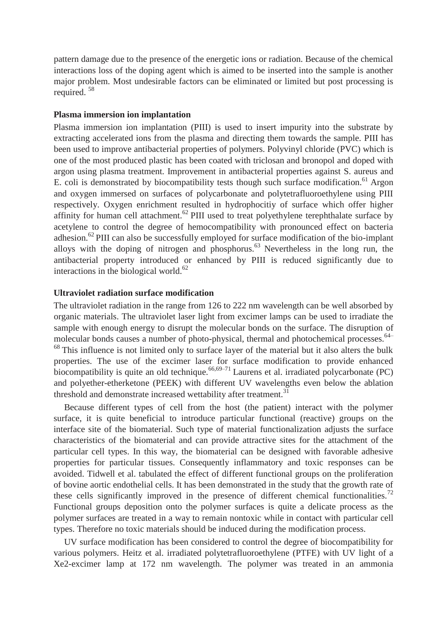pattern damage due to the presence of the energetic ions or radiation. Because of the chemical interactions loss of the doping agent which is aimed to be inserted into the sample is another major problem. Most undesirable factors can be eliminated or limited but post processing is required. <sup>58</sup>

#### **Plasma immersion ion implantation**

Plasma immersion ion implantation (PIII) is used to insert impurity into the substrate by extracting accelerated ions from the plasma and directing them towards the sample. PIII has been used to improve antibacterial properties of polymers. Polyvinyl chloride (PVC) which is one of the most produced plastic has been coated with triclosan and bronopol and doped with argon using plasma treatment. Improvement in antibacterial properties against S. aureus and E. coli is demonstrated by biocompatibility tests though such surface modification.<sup>61</sup> Argon and oxygen immersed on surfaces of polycarbonate and polytetrafluoroethylene using PIII respectively. Oxygen enrichment resulted in hydrophocitiy of surface which offer higher affinity for human cell attachment.<sup>62</sup> PIII used to treat polyethylene terephthalate surface by acetylene to control the degree of hemocompatibility with pronounced effect on bacteria adhesion.<sup>62</sup> PIII can also be successfully employed for surface modification of the bio-implant alloys with the doping of nitrogen and phosphorus.<sup>63</sup> Nevertheless in the long run, the antibacterial property introduced or enhanced by PIII is reduced significantly due to interactions in the biological world. $62$ 

## **Ultraviolet radiation surface modification**

The ultraviolet radiation in the range from 126 to 222 nm wavelength can be well absorbed by organic materials. The ultraviolet laser light from excimer lamps can be used to irradiate the sample with enough energy to disrupt the molecular bonds on the surface. The disruption of molecular bonds causes a number of photo-physical, thermal and photochemical processes.<sup>64–</sup> <sup>68</sup> This influence is not limited only to surface layer of the material but it also alters the bulk properties. The use of the excimer laser for surface modification to provide enhanced biocompatibility is quite an old technique.  $66,69-71$  Laurens et al. irradiated polycarbonate (PC) and polyether-etherketone (PEEK) with different UV wavelengths even below the ablation threshold and demonstrate increased wettability after treatment.<sup>31</sup>

Because different types of cell from the host (the patient) interact with the polymer surface, it is quite beneficial to introduce particular functional (reactive) groups on the interface site of the biomaterial. Such type of material functionalization adjusts the surface characteristics of the biomaterial and can provide attractive sites for the attachment of the particular cell types. In this way, the biomaterial can be designed with favorable adhesive properties for particular tissues. Consequently inflammatory and toxic responses can be avoided. Tidwell et al. tabulated the effect of different functional groups on the proliferation of bovine aortic endothelial cells. It has been demonstrated in the study that the growth rate of these cells significantly improved in the presence of different chemical functionalities.<sup>72</sup> Functional groups deposition onto the polymer surfaces is quite a delicate process as the polymer surfaces are treated in a way to remain nontoxic while in contact with particular cell types. Therefore no toxic materials should be induced during the modification process.

UV surface modification has been considered to control the degree of biocompatibility for various polymers. Heitz et al. irradiated polytetrafluoroethylene (PTFE) with UV light of a Xe2-excimer lamp at 172 nm wavelength. The polymer was treated in an ammonia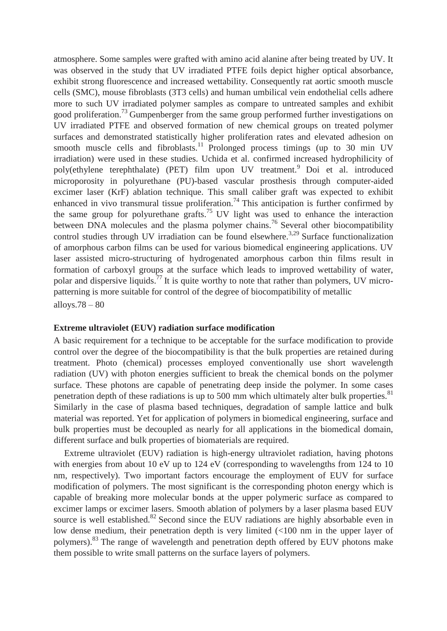atmosphere. Some samples were grafted with amino acid alanine after being treated by UV. It was observed in the study that UV irradiated PTFE foils depict higher optical absorbance, exhibit strong fluorescence and increased wettability. Consequently rat aortic smooth muscle cells (SMC), mouse fibroblasts (3T3 cells) and human umbilical vein endothelial cells adhere more to such UV irradiated polymer samples as compare to untreated samples and exhibit good proliferation.<sup>73</sup> Gumpenberger from the same group performed further investigations on UV irradiated PTFE and observed formation of new chemical groups on treated polymer surfaces and demonstrated statistically higher proliferation rates and elevated adhesion on smooth muscle cells and fibroblasts.<sup>11</sup> Prolonged process timings (up to 30 min UV irradiation) were used in these studies. Uchida et al. confirmed increased hydrophilicity of poly(ethylene terephthalate) (PET) film upon UV treatment.<sup>9</sup> Doi et al. introduced microporosity in polyurethane (PU)-based vascular prosthesis through computer-aided excimer laser (KrF) ablation technique. This small caliber graft was expected to exhibit enhanced in vivo transmural tissue proliferation.<sup>74</sup> This anticipation is further confirmed by the same group for polyurethane grafts.<sup>75</sup> UV light was used to enhance the interaction between DNA molecules and the plasma polymer chains.<sup>76</sup> Several other biocompatibility control studies through UV irradiation can be found elsewhere.<sup>3,29</sup> Surface functionalization of amorphous carbon films can be used for various biomedical engineering applications. UV laser assisted micro-structuring of hydrogenated amorphous carbon thin films result in formation of carboxyl groups at the surface which leads to improved wettability of water, polar and dispersive liquids.<sup>77</sup> It is quite worthy to note that rather than polymers, UV micropatterning is more suitable for control of the degree of biocompatibility of metallic alloys.78 – 80

#### **Extreme ultraviolet (EUV) radiation surface modification**

A basic requirement for a technique to be acceptable for the surface modification to provide control over the degree of the biocompatibility is that the bulk properties are retained during treatment. Photo (chemical) processes employed conventionally use short wavelength radiation (UV) with photon energies sufficient to break the chemical bonds on the polymer surface. These photons are capable of penetrating deep inside the polymer. In some cases penetration depth of these radiations is up to 500 mm which ultimately alter bulk properties.<sup>81</sup> Similarly in the case of plasma based techniques, degradation of sample lattice and bulk material was reported. Yet for application of polymers in biomedical engineering, surface and bulk properties must be decoupled as nearly for all applications in the biomedical domain, different surface and bulk properties of biomaterials are required.

Extreme ultraviolet (EUV) radiation is high-energy ultraviolet radiation, having photons with energies from about 10 eV up to 124 eV (corresponding to wavelengths from 124 to 10 nm, respectively). Two important factors encourage the employment of EUV for surface modification of polymers. The most significant is the corresponding photon energy which is capable of breaking more molecular bonds at the upper polymeric surface as compared to excimer lamps or excimer lasers. Smooth ablation of polymers by a laser plasma based EUV source is well established.<sup>82</sup> Second since the EUV radiations are highly absorbable even in low dense medium, their penetration depth is very limited (<100 nm in the upper layer of polymers).<sup>83</sup> The range of wavelength and penetration depth offered by EUV photons make them possible to write small patterns on the surface layers of polymers.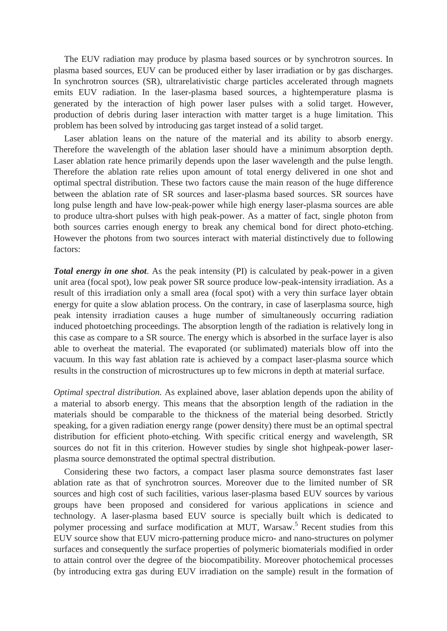The EUV radiation may produce by plasma based sources or by synchrotron sources. In plasma based sources, EUV can be produced either by laser irradiation or by gas discharges. In synchrotron sources (SR), ultrarelativistic charge particles accelerated through magnets emits EUV radiation. In the laser-plasma based sources, a hightemperature plasma is generated by the interaction of high power laser pulses with a solid target. However, production of debris during laser interaction with matter target is a huge limitation. This problem has been solved by introducing gas target instead of a solid target.

Laser ablation leans on the nature of the material and its ability to absorb energy. Therefore the wavelength of the ablation laser should have a minimum absorption depth. Laser ablation rate hence primarily depends upon the laser wavelength and the pulse length. Therefore the ablation rate relies upon amount of total energy delivered in one shot and optimal spectral distribution. These two factors cause the main reason of the huge difference between the ablation rate of SR sources and laser-plasma based sources. SR sources have long pulse length and have low-peak-power while high energy laser-plasma sources are able to produce ultra-short pulses with high peak-power. As a matter of fact, single photon from both sources carries enough energy to break any chemical bond for direct photo-etching. However the photons from two sources interact with material distinctively due to following factors:

*Total energy in one shot.* As the peak intensity (PI) is calculated by peak-power in a given unit area (focal spot), low peak power SR source produce low-peak-intensity irradiation. As a result of this irradiation only a small area (focal spot) with a very thin surface layer obtain energy for quite a slow ablation process. On the contrary, in case of laserplasma source, high peak intensity irradiation causes a huge number of simultaneously occurring radiation induced photoetching proceedings. The absorption length of the radiation is relatively long in this case as compare to a SR source. The energy which is absorbed in the surface layer is also able to overheat the material. The evaporated (or sublimated) materials blow off into the vacuum. In this way fast ablation rate is achieved by a compact laser-plasma source which results in the construction of microstructures up to few microns in depth at material surface.

*Optimal spectral distribution.* As explained above, laser ablation depends upon the ability of a material to absorb energy. This means that the absorption length of the radiation in the materials should be comparable to the thickness of the material being desorbed. Strictly speaking, for a given radiation energy range (power density) there must be an optimal spectral distribution for efficient photo-etching. With specific critical energy and wavelength, SR sources do not fit in this criterion. However studies by single shot highpeak-power laserplasma source demonstrated the optimal spectral distribution.

Considering these two factors, a compact laser plasma source demonstrates fast laser ablation rate as that of synchrotron sources. Moreover due to the limited number of SR sources and high cost of such facilities, various laser-plasma based EUV sources by various groups have been proposed and considered for various applications in science and technology. A laser-plasma based EUV source is specially built which is dedicated to polymer processing and surface modification at MUT, Warsaw.<sup>5</sup> Recent studies from this EUV source show that EUV micro-patterning produce micro- and nano-structures on polymer surfaces and consequently the surface properties of polymeric biomaterials modified in order to attain control over the degree of the biocompatibility. Moreover photochemical processes (by introducing extra gas during EUV irradiation on the sample) result in the formation of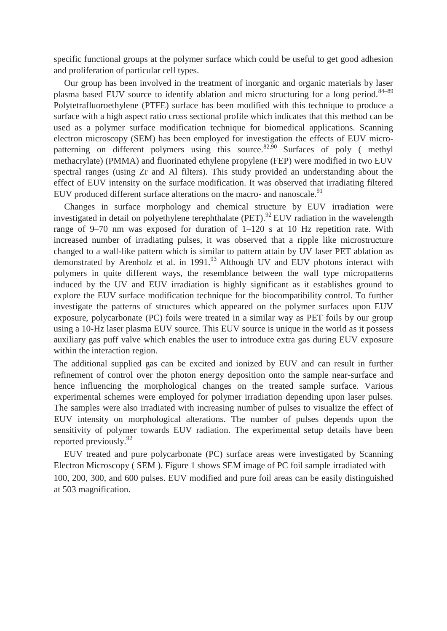specific functional groups at the polymer surface which could be useful to get good adhesion and proliferation of particular cell types.

Our group has been involved in the treatment of inorganic and organic materials by laser plasma based EUV source to identify ablation and micro structuring for a long period.<sup>84–89</sup> Polytetrafluoroethylene (PTFE) surface has been modified with this technique to produce a surface with a high aspect ratio cross sectional profile which indicates that this method can be used as a polymer surface modification technique for biomedical applications. Scanning electron microscopy (SEM) has been employed for investigation the effects of EUV micropatterning on different polymers using this source.<sup>82,90</sup> Surfaces of poly ( methyl methacrylate) (PMMA) and fluorinated ethylene propylene (FEP) were modified in two EUV spectral ranges (using Zr and Al filters). This study provided an understanding about the effect of EUV intensity on the surface modification. It was observed that irradiating filtered EUV produced different surface alterations on the macro- and nanoscale.<sup>91</sup>

Changes in surface morphology and chemical structure by EUV irradiation were investigated in detail on polyethylene terephthalate  $(PET)$ .<sup>92</sup> EUV radiation in the wavelength range of 9–70 nm was exposed for duration of 1–120 s at 10 Hz repetition rate. With increased number of irradiating pulses, it was observed that a ripple like microstructure changed to a wall-like pattern which is similar to pattern attain by UV laser PET ablation as demonstrated by Arenholz et al. in 1991. $93$  Although UV and EUV photons interact with polymers in quite different ways, the resemblance between the wall type micropatterns induced by the UV and EUV irradiation is highly significant as it establishes ground to explore the EUV surface modification technique for the biocompatibility control. To further investigate the patterns of structures which appeared on the polymer surfaces upon EUV exposure, polycarbonate (PC) foils were treated in a similar way as PET foils by our group using a 10-Hz laser plasma EUV source. This EUV source is unique in the world as it possess auxiliary gas puff valve which enables the user to introduce extra gas during EUV exposure within the interaction region.

The additional supplied gas can be excited and ionized by EUV and can result in further refinement of control over the photon energy deposition onto the sample near-surface and hence influencing the morphological changes on the treated sample surface. Various experimental schemes were employed for polymer irradiation depending upon laser pulses. The samples were also irradiated with increasing number of pulses to visualize the effect of EUV intensity on morphological alterations. The number of pulses depends upon the sensitivity of polymer towards EUV radiation. The experimental setup details have been reported previously.<sup>92</sup>

EUV treated and pure polycarbonate (PC) surface areas were investigated by Scanning Electron Microscopy ( SEM ). Figure 1 shows SEM image of PC foil sample irradiated with 100, 200, 300, and 600 pulses. EUV modified and pure foil areas can be easily distinguished at 503 magnification.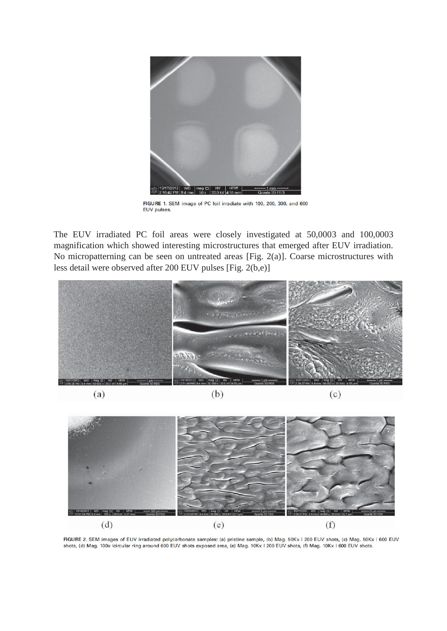

FIGURE 1. SEM image of PC foil irradiate with 100, 200, 300, and 600 EUV pulses.

The EUV irradiated PC foil areas were closely investigated at 50,0003 and 100,0003 magnification which showed interesting microstructures that emerged after EUV irradiation. No micropatterning can be seen on untreated areas [Fig. 2(a)]. Coarse microstructures with less detail were observed after 200 EUV pulses [Fig. 2(b,e)]





FIGURE 2. SEM images of EUV irradiated polycarbonate samples: (a) pristine sample, (b) Mag. 50Kx I 200 EUV shots, (c) Mag. 50Kx I 600 EUV<br>shots, (d) Mag. 100x lcircular ring around 600 EUV shots exposed area, (e) Mag. 10Kx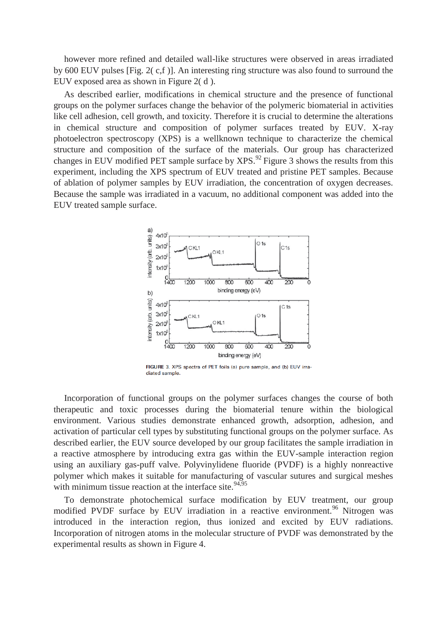however more refined and detailed wall-like structures were observed in areas irradiated by 600 EUV pulses [Fig. 2( c,f )]. An interesting ring structure was also found to surround the EUV exposed area as shown in Figure 2( d ).

As described earlier, modifications in chemical structure and the presence of functional groups on the polymer surfaces change the behavior of the polymeric biomaterial in activities like cell adhesion, cell growth, and toxicity. Therefore it is crucial to determine the alterations in chemical structure and composition of polymer surfaces treated by EUV. X-ray photoelectron spectroscopy (XPS) is a wellknown technique to characterize the chemical structure and composition of the surface of the materials. Our group has characterized changes in EUV modified PET sample surface by  $XPS$ .<sup>92</sup> Figure 3 shows the results from this experiment, including the XPS spectrum of EUV treated and pristine PET samples. Because of ablation of polymer samples by EUV irradiation, the concentration of oxygen decreases. Because the sample was irradiated in a vacuum, no additional component was added into the EUV treated sample surface.



diated sample.

Incorporation of functional groups on the polymer surfaces changes the course of both therapeutic and toxic processes during the biomaterial tenure within the biological environment. Various studies demonstrate enhanced growth, adsorption, adhesion, and activation of particular cell types by substituting functional groups on the polymer surface. As described earlier, the EUV source developed by our group facilitates the sample irradiation in a reactive atmosphere by introducing extra gas within the EUV-sample interaction region using an auxiliary gas-puff valve. Polyvinylidene fluoride (PVDF) is a highly nonreactive polymer which makes it suitable for manufacturing of vascular sutures and surgical meshes with minimum tissue reaction at the interface site. $94,95$ 

To demonstrate photochemical surface modification by EUV treatment, our group modified PVDF surface by EUV irradiation in a reactive environment.<sup>96</sup> Nitrogen was introduced in the interaction region, thus ionized and excited by EUV radiations. Incorporation of nitrogen atoms in the molecular structure of PVDF was demonstrated by the experimental results as shown in Figure 4.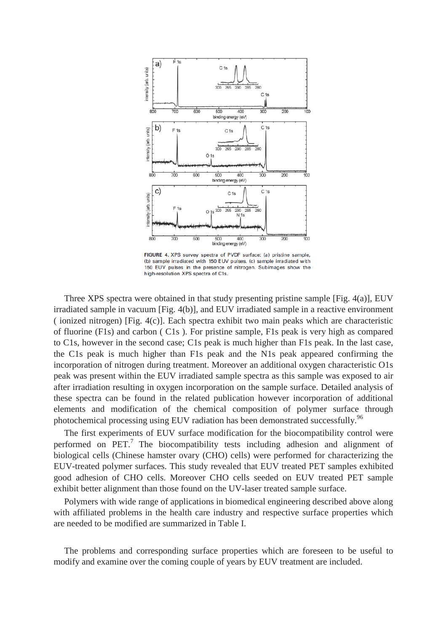

FIGURE 4. XPS survey spectra of PVDF surface: (a) pristine sample, (b) sample irradiated with 150 EUV pulses, (c) sample irradiated with 150 EUV pulses in the presence of nitrogen. Subimages show the high-resolution XPS spectra of C1s.

Three XPS spectra were obtained in that study presenting pristine sample  $[Fig. 4(a)]$ , EUV irradiated sample in vacuum [Fig. 4(b)], and EUV irradiated sample in a reactive environment ( ionized nitrogen) [Fig. 4(c)]. Each spectra exhibit two main peaks which are characteristic of fluorine (F1s) and carbon ( C1s ). For pristine sample, F1s peak is very high as compared to C1s, however in the second case; C1s peak is much higher than F1s peak. In the last case, the C1s peak is much higher than F1s peak and the N1s peak appeared confirming the incorporation of nitrogen during treatment. Moreover an additional oxygen characteristic O1s peak was present within the EUV irradiated sample spectra as this sample was exposed to air after irradiation resulting in oxygen incorporation on the sample surface. Detailed analysis of these spectra can be found in the related publication however incorporation of additional elements and modification of the chemical composition of polymer surface through photochemical processing using EUV radiation has been demonstrated successfully.<sup>96</sup>

The first experiments of EUV surface modification for the biocompatibility control were performed on  $\operatorname{PET}$ .<sup>7</sup> The biocompatibility tests including adhesion and alignment of biological cells (Chinese hamster ovary (CHO) cells) were performed for characterizing the EUV-treated polymer surfaces. This study revealed that EUV treated PET samples exhibited good adhesion of CHO cells. Moreover CHO cells seeded on EUV treated PET sample exhibit better alignment than those found on the UV-laser treated sample surface.

Polymers with wide range of applications in biomedical engineering described above along with affiliated problems in the health care industry and respective surface properties which are needed to be modified are summarized in Table I.

The problems and corresponding surface properties which are foreseen to be useful to modify and examine over the coming couple of years by EUV treatment are included.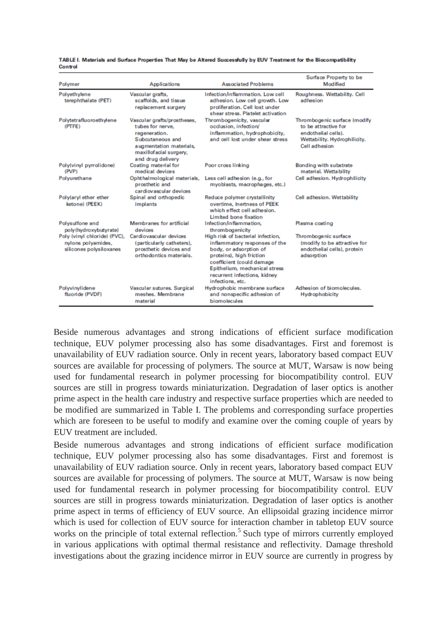| Polymer                                                                       | <b>Applications</b>                                                                                                                                            | <b>Associated Problems</b>                                                                                                                                                                                                                 | Surface Property to be<br>Modified                                                                                           |
|-------------------------------------------------------------------------------|----------------------------------------------------------------------------------------------------------------------------------------------------------------|--------------------------------------------------------------------------------------------------------------------------------------------------------------------------------------------------------------------------------------------|------------------------------------------------------------------------------------------------------------------------------|
| Polyethylene<br>terephthalate (PET)                                           | Vascular grafts,<br>scaffolds, and tissue<br>replacement surgery                                                                                               | Infection/inflammation, Low cell<br>adhesion. Low cell growth. Low<br>proliferation. Cell lost under<br>shear stress. Platelet activation                                                                                                  | Roughness, Wettability, Cell<br>adhesion                                                                                     |
| Polytetrafluoroethylene<br>(PTFE)                                             | Vascular grafts/prostheses,<br>tubes for nerve.<br>regeneration.<br>Subcutaneous and<br>augmentation materials,<br>maxillofacial surgery,<br>and drug delivery | Thrombogenicity, vascular<br>occlusion, infection/<br>inflammation, hydrophobicity,<br>and cell lost under shear stress                                                                                                                    | Thrombogenic surface (modify<br>to be attractive for<br>endothelial cells).<br>Wettability. Hydrophilicity.<br>Cell adhesion |
| Poly(vinyl pyrrolidone)<br>(PVP)                                              | Coating material for<br>medical devices                                                                                                                        | Poor cross linking                                                                                                                                                                                                                         | Bonding with substrate<br>material. Wetta bility                                                                             |
| Polyurethane                                                                  | Ophthalmological materials,<br>prosthetic and<br>cardiovascular devices                                                                                        | Less cell adhesion (e.g., for<br>myoblasts, macrophages, etc.)                                                                                                                                                                             | Cell adhesion. Hydrophilicity                                                                                                |
| Poly(aryl ether ether<br>ketone) (PEEK)                                       | Spinal and orthopedic<br>implants                                                                                                                              | Reduce polymer crystallinity<br>overtime, Inertness of PEEK<br>which effect cell adhesion.<br>Limited bone fixation                                                                                                                        | Cell adhesion. Wettability                                                                                                   |
| Polysulfone and<br>poly (hydroxybutyrate)                                     | Membranes for artificial<br>devices                                                                                                                            | Infection/inflammation.<br>thrombogenicity                                                                                                                                                                                                 | Plasma coating                                                                                                               |
| Poly (vinyl chloride) (PVC),<br>nylons polyamides,<br>silicones polysiloxanes | Cardiovascular devices<br>(particularly catheters),<br>prosthetic devices and<br>orthodontics materials.                                                       | High risk of bacterial infection.<br>inflammatory responses of the<br>body, or adsorption of<br>proteins), high friction<br>coefficient (could damage<br>Epithelium, mechanical stress<br>recurrent infections, kidney<br>infections, etc. | Thrombogenic surface<br>(modify to be attractive for<br>endothelial cells), protein<br>adsorption                            |
| Polyvinvlidene<br>fluoride (PVDF)                                             | Vascular sutures, Surgical<br>meshes, Membrane<br>material                                                                                                     | Hydrophobic membrane surface<br>and nonspecific adhesion of<br>biomolecules                                                                                                                                                                | Adhesion of biomolecules.<br>Hydrophobicity                                                                                  |

TABLE I. Materials and Surface Properties That May be Altered Successfully by EUV Treatment for the Biocompatibility Control

Beside numerous advantages and strong indications of efficient surface modification technique, EUV polymer processing also has some disadvantages. First and foremost is unavailability of EUV radiation source. Only in recent years, laboratory based compact EUV sources are available for processing of polymers. The source at MUT, Warsaw is now being used for fundamental research in polymer processing for biocompatibility control. EUV sources are still in progress towards miniaturization. Degradation of laser optics is another prime aspect in the health care industry and respective surface properties which are needed to be modified are summarized in Table I. The problems and corresponding surface properties which are foreseen to be useful to modify and examine over the coming couple of years by EUV treatment are included.

Beside numerous advantages and strong indications of efficient surface modification technique, EUV polymer processing also has some disadvantages. First and foremost is unavailability of EUV radiation source. Only in recent years, laboratory based compact EUV sources are available for processing of polymers. The source at MUT, Warsaw is now being used for fundamental research in polymer processing for biocompatibility control. EUV sources are still in progress towards miniaturization. Degradation of laser optics is another prime aspect in terms of efficiency of EUV source. An ellipsoidal grazing incidence mirror which is used for collection of EUV source for interaction chamber in tabletop EUV source works on the principle of total external reflection.<sup>5</sup> Such type of mirrors currently employed in various applications with optimal thermal resistance and reflectivity. Damage threshold investigations about the grazing incidence mirror in EUV source are currently in progress by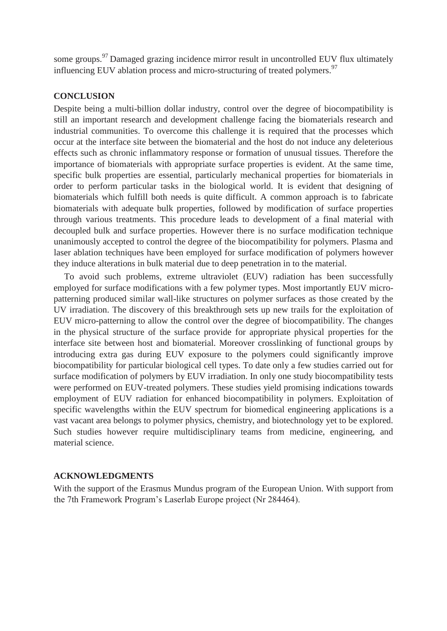some groups.<sup>97</sup> Damaged grazing incidence mirror result in uncontrolled EUV flux ultimately influencing EUV ablation process and micro-structuring of treated polymers.<sup>97</sup>

### **CONCLUSION**

Despite being a multi-billion dollar industry, control over the degree of biocompatibility is still an important research and development challenge facing the biomaterials research and industrial communities. To overcome this challenge it is required that the processes which occur at the interface site between the biomaterial and the host do not induce any deleterious effects such as chronic inflammatory response or formation of unusual tissues. Therefore the importance of biomaterials with appropriate surface properties is evident. At the same time, specific bulk properties are essential, particularly mechanical properties for biomaterials in order to perform particular tasks in the biological world. It is evident that designing of biomaterials which fulfill both needs is quite difficult. A common approach is to fabricate biomaterials with adequate bulk properties, followed by modification of surface properties through various treatments. This procedure leads to development of a final material with decoupled bulk and surface properties. However there is no surface modification technique unanimously accepted to control the degree of the biocompatibility for polymers. Plasma and laser ablation techniques have been employed for surface modification of polymers however they induce alterations in bulk material due to deep penetration in to the material.

To avoid such problems, extreme ultraviolet (EUV) radiation has been successfully employed for surface modifications with a few polymer types. Most importantly EUV micropatterning produced similar wall-like structures on polymer surfaces as those created by the UV irradiation. The discovery of this breakthrough sets up new trails for the exploitation of EUV micro-patterning to allow the control over the degree of biocompatibility. The changes in the physical structure of the surface provide for appropriate physical properties for the interface site between host and biomaterial. Moreover crosslinking of functional groups by introducing extra gas during EUV exposure to the polymers could significantly improve biocompatibility for particular biological cell types. To date only a few studies carried out for surface modification of polymers by EUV irradiation. In only one study biocompatibility tests were performed on EUV-treated polymers. These studies yield promising indications towards employment of EUV radiation for enhanced biocompatibility in polymers. Exploitation of specific wavelengths within the EUV spectrum for biomedical engineering applications is a vast vacant area belongs to polymer physics, chemistry, and biotechnology yet to be explored. Such studies however require multidisciplinary teams from medicine, engineering, and material science.

### **ACKNOWLEDGMENTS**

With the support of the Erasmus Mundus program of the European Union. With support from the 7th Framework Program's Laserlab Europe project (Nr 284464).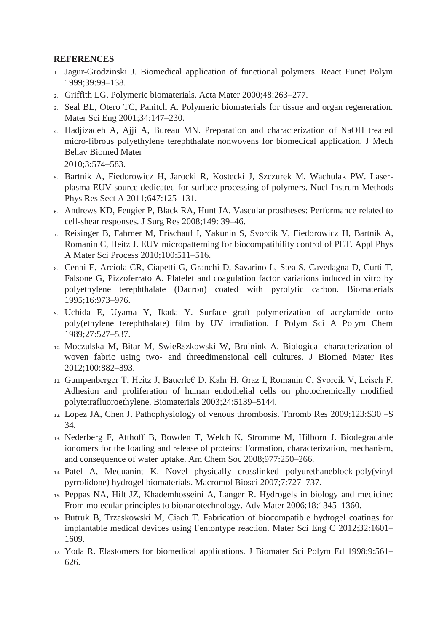# **REFERENCES**

- 1. Jagur-Grodzinski J. Biomedical application of functional polymers. React Funct Polym 1999;39:99–138.
- 2. Griffith LG. Polymeric biomaterials. Acta Mater 2000;48:263–277.
- 3. Seal BL, Otero TC, Panitch A. Polymeric biomaterials for tissue and organ regeneration. Mater Sci Eng 2001;34:147–230.
- 4. Hadjizadeh A, Ajji A, Bureau MN. Preparation and characterization of NaOH treated micro-fibrous polyethylene terephthalate nonwovens for biomedical application. J Mech Behav Biomed Mater

2010;3:574–583.

- 5. Bartnik A, Fiedorowicz H, Jarocki R, Kostecki J, Szczurek M, Wachulak PW. Laserplasma EUV source dedicated for surface processing of polymers. Nucl Instrum Methods Phys Res Sect A 2011;647:125–131.
- 6. Andrews KD, Feugier P, Black RA, Hunt JA. Vascular prostheses: Performance related to cell-shear responses. J Surg Res 2008;149: 39–46.
- 7. Reisinger B, Fahrner M, Frischauf I, Yakunin S, Svorcik V, Fiedorowicz H, Bartnik A, Romanin C, Heitz J. EUV micropatterning for biocompatibility control of PET. Appl Phys A Mater Sci Process 2010;100:511–516.
- 8. Cenni E, Arciola CR, Ciapetti G, Granchi D, Savarino L, Stea S, Cavedagna D, Curti T, Falsone G, Pizzoferrato A. Platelet and coagulation factor variations induced in vitro by polyethylene terephthalate (Dacron) coated with pyrolytic carbon. Biomaterials 1995;16:973–976.
- 9. Uchida E, Uyama Y, Ikada Y. Surface graft polymerization of acrylamide onto poly(ethylene terephthalate) film by UV irradiation. J Polym Sci A Polym Chem 1989;27:527–537.
- 10. Moczulska M, Bitar M, SwieRszkowski W, Bruinink A. Biological characterization of woven fabric using two- and threedimensional cell cultures. J Biomed Mater Res 2012;100:882–893.
- 11. Gumpenberger T, Heitz J, Bauerle€ D, Kahr H, Graz I, Romanin C, Svorcik V, Leisch F. Adhesion and proliferation of human endothelial cells on photochemically modified polytetrafluoroethylene. Biomaterials 2003;24:5139–5144.
- 12. Lopez JA, Chen J. Pathophysiology of venous thrombosis. Thromb Res 2009;123:S30 –S 34.
- 13. Nederberg F, Atthoff B, Bowden T, Welch K, Stromme M, Hilborn J. Biodegradable ionomers for the loading and release of proteins: Formation, characterization, mechanism, and consequence of water uptake. Am Chem Soc 2008;977:250–266.
- 14. Patel A, Mequanint K. Novel physically crosslinked polyurethaneblock-poly(vinyl pyrrolidone) hydrogel biomaterials. Macromol Biosci 2007;7:727–737.
- 15. Peppas NA, Hilt JZ, Khademhosseini A, Langer R. Hydrogels in biology and medicine: From molecular principles to bionanotechnology. Adv Mater 2006;18:1345–1360.
- 16. Butruk B, Trzaskowski M, Ciach T. Fabrication of biocompatible hydrogel coatings for implantable medical devices using Fentontype reaction. Mater Sci Eng C 2012;32:1601– 1609.
- 17. Yoda R. Elastomers for biomedical applications. J Biomater Sci Polym Ed 1998;9:561– 626.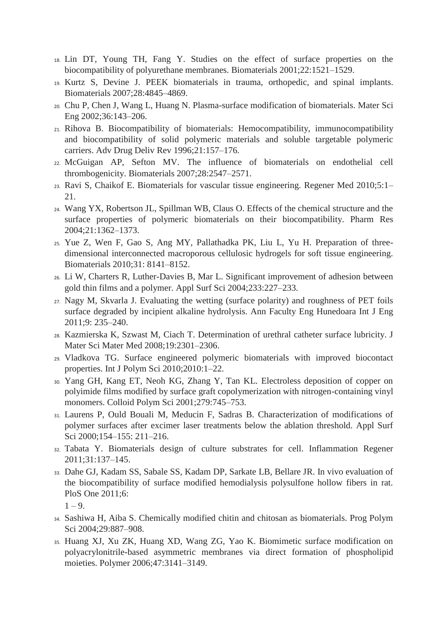- 18. Lin DT, Young TH, Fang Y. Studies on the effect of surface properties on the biocompatibility of polyurethane membranes. Biomaterials 2001;22:1521–1529.
- 19. Kurtz S, Devine J. PEEK biomaterials in trauma, orthopedic, and spinal implants. Biomaterials 2007;28:4845–4869.
- 20. Chu P, Chen J, Wang L, Huang N. Plasma-surface modification of biomaterials. Mater Sci Eng 2002;36:143–206.
- 21. Rihova B. Biocompatibility of biomaterials: Hemocompatibility, immunocompatibility and biocompatibility of solid polymeric materials and soluble targetable polymeric carriers. Adv Drug Deliv Rev 1996;21:157–176.
- 22. McGuigan AP, Sefton MV. The influence of biomaterials on endothelial cell thrombogenicity. Biomaterials 2007;28:2547–2571.
- 23. Ravi S, Chaikof E. Biomaterials for vascular tissue engineering. Regener Med 2010;5:1– 21.
- 24. Wang YX, Robertson JL, Spillman WB, Claus O. Effects of the chemical structure and the surface properties of polymeric biomaterials on their biocompatibility. Pharm Res 2004;21:1362–1373.
- 25. Yue Z, Wen F, Gao S, Ang MY, Pallathadka PK, Liu L, Yu H. Preparation of threedimensional interconnected macroporous cellulosic hydrogels for soft tissue engineering. Biomaterials 2010;31: 8141–8152.
- 26. Li W, Charters R, Luther-Davies B, Mar L. Significant improvement of adhesion between gold thin films and a polymer. Appl Surf Sci 2004;233:227–233.
- 27. Nagy M, Skvarla J. Evaluating the wetting (surface polarity) and roughness of PET foils surface degraded by incipient alkaline hydrolysis. Ann Faculty Eng Hunedoara Int J Eng 2011;9: 235–240.
- 28. Kazmierska K, Szwast M, Ciach T. Determination of urethral catheter surface lubricity. J Mater Sci Mater Med 2008;19:2301–2306.
- 29. Vladkova TG. Surface engineered polymeric biomaterials with improved biocontact properties. Int J Polym Sci 2010;2010:1–22.
- 30. Yang GH, Kang ET, Neoh KG, Zhang Y, Tan KL. Electroless deposition of copper on polyimide films modified by surface graft copolymerization with nitrogen-containing vinyl monomers. Colloid Polym Sci 2001;279:745–753.
- 31. Laurens P, Ould Bouali M, Meducin F, Sadras B. Characterization of modifications of polymer surfaces after excimer laser treatments below the ablation threshold. Appl Surf Sci 2000;154–155: 211–216.
- 32. Tabata Y. Biomaterials design of culture substrates for cell. Inflammation Regener 2011;31:137–145.
- 33. Dahe GJ, Kadam SS, Sabale SS, Kadam DP, Sarkate LB, Bellare JR. In vivo evaluation of the biocompatibility of surface modified hemodialysis polysulfone hollow fibers in rat. PloS One 2011;6:
	- $1 9$ .
- 34. Sashiwa H, Aiba S. Chemically modified chitin and chitosan as biomaterials. Prog Polym Sci 2004;29:887–908.
- 35. Huang XJ, Xu ZK, Huang XD, Wang ZG, Yao K. Biomimetic surface modification on polyacrylonitrile-based asymmetric membranes via direct formation of phospholipid moieties. Polymer 2006;47:3141–3149.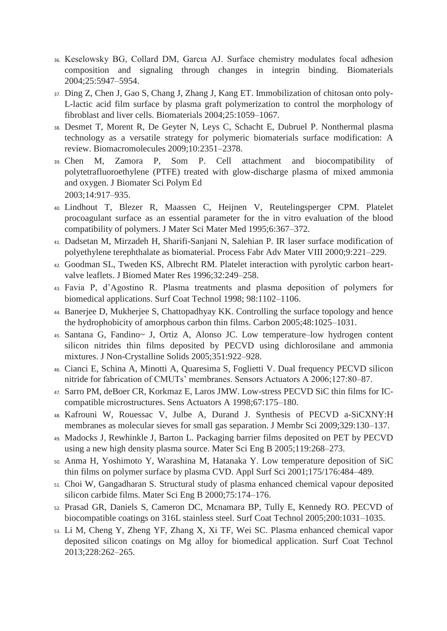- 36. Keselowsky BG, Collard DM, Garcıa AJ. Surface chemistry modulates focal adhesion composition and signaling through changes in integrin binding. Biomaterials 2004;25:5947–5954.
- 37. Ding Z, Chen J, Gao S, Chang J, Zhang J, Kang ET. Immobilization of chitosan onto poly-L-lactic acid film surface by plasma graft polymerization to control the morphology of fibroblast and liver cells. Biomaterials 2004;25:1059–1067.
- 38. Desmet T, Morent R, De Geyter N, Leys C, Schacht E, Dubruel P. Nonthermal plasma technology as a versatile strategy for polymeric biomaterials surface modification: A review. Biomacromolecules 2009;10:2351–2378.
- 39. Chen M, Zamora P, Som P. Cell attachment and biocompatibility of polytetrafluoroethylene (PTFE) treated with glow-discharge plasma of mixed ammonia and oxygen. J Biomater Sci Polym Ed 2003;14:917–935.
- 40. Lindhout T, Blezer R, Maassen C, Heijnen V, Reutelingsperger CPM. Platelet procoagulant surface as an essential parameter for the in vitro evaluation of the blood compatibility of polymers. J Mater Sci Mater Med 1995;6:367–372.
- 41. Dadsetan M, Mirzadeh H, Sharifi-Sanjani N, Salehian P. IR laser surface modification of polyethylene terephthalate as biomaterial. Process Fabr Adv Mater VIII 2000;9:221–229.
- 42. Goodman SL, Tweden KS, Albrecht RM. Platelet interaction with pyrolytic carbon heartvalve leaflets. J Biomed Mater Res 1996;32:249–258.
- 43. Favia P, d'Agostino R. Plasma treatments and plasma deposition of polymers for biomedical applications. Surf Coat Technol 1998; 98:1102–1106.
- 44. Banerjee D, Mukherjee S, Chattopadhyay KK. Controlling the surface topology and hence the hydrophobicity of amorphous carbon thin films. Carbon 2005;48:1025–1031.
- 45. Santana G, Fandino~ J, Ortiz A, Alonso JC. Low temperature–low hydrogen content silicon nitrides thin films deposited by PECVD using dichlorosilane and ammonia mixtures. J Non-Crystalline Solids 2005;351:922–928.
- 46. Cianci E, Schina A, Minotti A, Quaresima S, Foglietti V. Dual frequency PECVD silicon nitride for fabrication of CMUTs' membranes. Sensors Actuators A 2006;127:80–87.
- 47. Sarro PM, deBoer CR, Korkmaz E, Laros JMW. Low-stress PECVD SiC thin films for ICcompatible microstructures. Sens Actuators A 1998;67:175–180.
- 48. Kafrouni W, Rouessac V, Julbe A, Durand J. Synthesis of PECVD a-SiCXNY:H membranes as molecular sieves for small gas separation. J Membr Sci 2009;329:130–137.
- 49. Madocks J, Rewhinkle J, Barton L. Packaging barrier films deposited on PET by PECVD using a new high density plasma source. Mater Sci Eng B 2005;119:268–273.
- 50. Anma H, Yoshimoto Y, Warashina M, Hatanaka Y. Low temperature deposition of SiC thin films on polymer surface by plasma CVD. Appl Surf Sci 2001;175/176:484–489.
- 51. Choi W, Gangadharan S. Structural study of plasma enhanced chemical vapour deposited silicon carbide films. Mater Sci Eng B 2000;75:174–176.
- 52. Prasad GR, Daniels S, Cameron DC, Mcnamara BP, Tully E, Kennedy RO. PECVD of biocompatible coatings on 316L stainless steel. Surf Coat Technol 2005;200:1031–1035.
- 53. Li M, Cheng Y, Zheng YF, Zhang X, Xi TF, Wei SC. Plasma enhanced chemical vapor deposited silicon coatings on Mg alloy for biomedical application. Surf Coat Technol 2013;228:262–265.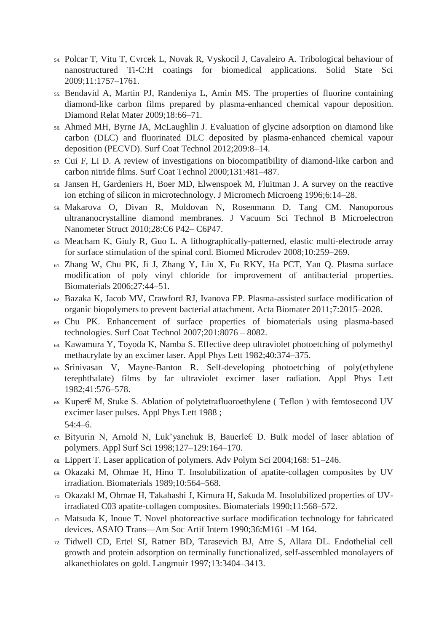- 54. Polcar T, Vitu T, Cvrcek L, Novak R, Vyskocil J, Cavaleiro A. Tribological behaviour of nanostructured Ti-C:H coatings for biomedical applications. Solid State Sci 2009;11:1757–1761.
- 55. Bendavid A, Martin PJ, Randeniya L, Amin MS. The properties of fluorine containing diamond-like carbon films prepared by plasma-enhanced chemical vapour deposition. Diamond Relat Mater 2009;18:66–71.
- 56. Ahmed MH, Byrne JA, McLaughlin J. Evaluation of glycine adsorption on diamond like carbon (DLC) and fluorinated DLC deposited by plasma-enhanced chemical vapour deposition (PECVD). Surf Coat Technol 2012;209:8–14.
- 57. Cui F, Li D. A review of investigations on biocompatibility of diamond-like carbon and carbon nitride films. Surf Coat Technol 2000;131:481–487.
- 58. Jansen H, Gardeniers H, Boer MD, Elwenspoek M, Fluitman J. A survey on the reactive ion etching of silicon in microtechnology. J Micromech Microeng 1996;6:14–28.
- 59. Makarova O, Divan R, Moldovan N, Rosenmann D, Tang CM. Nanoporous ultrananocrystalline diamond membranes. J Vacuum Sci Technol B Microelectron Nanometer Struct 2010;28:C6 P42– C6P47.
- 60. Meacham K, Giuly R, Guo L. A lithographically-patterned, elastic multi-electrode array for surface stimulation of the spinal cord. Biomed Microdev 2008;10:259–269.
- 61. Zhang W, Chu PK, Ji J, Zhang Y, Liu X, Fu RKY, Ha PCT, Yan Q. Plasma surface modification of poly vinyl chloride for improvement of antibacterial properties. Biomaterials 2006;27:44–51.
- 62. Bazaka K, Jacob MV, Crawford RJ, Ivanova EP. Plasma-assisted surface modification of organic biopolymers to prevent bacterial attachment. Acta Biomater 2011;7:2015–2028.
- 63. Chu PK. Enhancement of surface properties of biomaterials using plasma-based technologies. Surf Coat Technol 2007;201:8076 – 8082.
- 64. Kawamura Y, Toyoda K, Namba S. Effective deep ultraviolet photoetching of polymethyl methacrylate by an excimer laser. Appl Phys Lett 1982;40:374–375.
- 65. Srinivasan V, Mayne-Banton R. Self-developing photoetching of poly(ethylene terephthalate) films by far ultraviolet excimer laser radiation. Appl Phys Lett 1982;41:576–578.
- 66. Kuper€ M, Stuke S. Ablation of polytetrafluoroethylene ( Teflon ) with femtosecond UV excimer laser pulses. Appl Phys Lett 1988 ; 54:4–6.
- 67. Bityurin N, Arnold N, Luk'yanchuk B, Bauerle€ D. Bulk model of laser ablation of polymers. Appl Surf Sci 1998;127–129:164–170.
- 68. Lippert T. Laser application of polymers. Adv Polym Sci 2004;168: 51–246.
- 69. Okazaki M, Ohmae H, Hino T. Insolubilization of apatite-collagen composites by UV irradiation. Biomaterials 1989;10:564–568.
- 70. Okazakl M, Ohmae H, Takahashi J, Kimura H, Sakuda M. Insolubilized properties of UVirradiated C03 apatite-collagen composites. Biomaterials 1990;11:568–572.
- 71. Matsuda K, Inoue T. Novel photoreactive surface modification technology for fabricated devices. ASAIO Trans—Am Soc Artif Intern 1990;36:M161 –M 164.
- 72. Tidwell CD, Ertel SI, Ratner BD, Tarasevich BJ, Atre S, Allara DL. Endothelial cell growth and protein adsorption on terminally functionalized, self-assembled monolayers of alkanethiolates on gold. Langmuir 1997;13:3404–3413.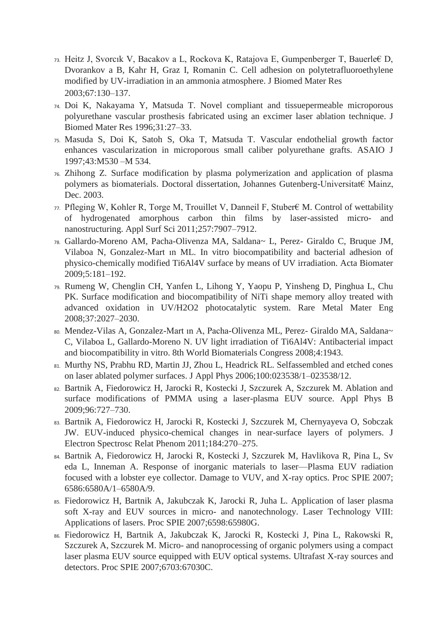- 73. Heitz J, Svorcık V, Bacakov a L, Rockova K, Ratajova E, Gumpenberger T, Bauerle€ D, Dvorankov a B, Kahr H, Graz I, Romanin C. Cell adhesion on polytetrafluoroethylene modified by UV-irradiation in an ammonia atmosphere. J Biomed Mater Res 2003;67:130–137.
- 74. Doi K, Nakayama Y, Matsuda T. Novel compliant and tissuepermeable microporous polyurethane vascular prosthesis fabricated using an excimer laser ablation technique. J Biomed Mater Res 1996;31:27–33.
- 75. Masuda S, Doi K, Satoh S, Oka T, Matsuda T. Vascular endothelial growth factor enhances vascularization in microporous small caliber polyurethane grafts. ASAIO J 1997;43:M530 –M 534.
- 76. Zhihong Z. Surface modification by plasma polymerization and application of plasma polymers as biomaterials. Doctoral dissertation, Johannes Gutenberg-Universitat€ Mainz, Dec. 2003.
- 77. Pfleging W, Kohler R, Torge M, Trouillet V, Danneil F, Stuber€ M. Control of wettability of hydrogenated amorphous carbon thin films by laser-assisted micro- and nanostructuring. Appl Surf Sci 2011;257:7907–7912.
- 78. Gallardo-Moreno AM, Pacha-Olivenza MA, Saldana~ L, Perez- Giraldo C, Bruque JM, Vilaboa N, Gonzalez-Mart ın ML. In vitro biocompatibility and bacterial adhesion of physico-chemically modified Ti6Al4V surface by means of UV irradiation. Acta Biomater 2009;5:181–192.
- 79. Rumeng W, Chenglin CH, Yanfen L, Lihong Y, Yaopu P, Yinsheng D, Pinghua L, Chu PK. Surface modification and biocompatibility of NiTi shape memory alloy treated with advanced oxidation in UV/H2O2 photocatalytic system. Rare Metal Mater Eng 2008;37:2027–2030.
- 80. Mendez-Vilas A, Gonzalez-Mart ın A, Pacha-Olivenza ML, Perez- Giraldo MA, Saldana~ C, Vilaboa L, Gallardo-Moreno N. UV light irradiation of Ti6Al4V: Antibacterial impact and biocompatibility in vitro. 8th World Biomaterials Congress 2008;4:1943.
- 81. Murthy NS, Prabhu RD, Martin JJ, Zhou L, Headrick RL. Selfassembled and etched cones on laser ablated polymer surfaces. J Appl Phys 2006;100:023538/1–023538/12.
- 82. Bartnik A, Fiedorowicz H, Jarocki R, Kostecki J, Szczurek A, Szczurek M. Ablation and surface modifications of PMMA using a laser-plasma EUV source. Appl Phys B 2009;96:727–730.
- 83. Bartnik A, Fiedorowicz H, Jarocki R, Kostecki J, Szczurek M, Chernyayeva O, Sobczak JW. EUV-induced physico-chemical changes in near-surface layers of polymers. J Electron Spectrosc Relat Phenom 2011;184:270–275.
- 84. Bartnik A, Fiedorowicz H, Jarocki R, Kostecki J, Szczurek M, Havlikova R, Pina L, Sv eda L, Inneman A. Response of inorganic materials to laser—Plasma EUV radiation focused with a lobster eye collector. Damage to VUV, and X-ray optics. Proc SPIE 2007; 6586:6580A/1–6580A/9.
- 85. Fiedorowicz H, Bartnik A, Jakubczak K, Jarocki R, Juha L. Application of laser plasma soft X-ray and EUV sources in micro- and nanotechnology. Laser Technology VIII: Applications of lasers. Proc SPIE 2007;6598:65980G.
- 86. Fiedorowicz H, Bartnik A, Jakubczak K, Jarocki R, Kostecki J, Pina L, Rakowski R, Szczurek A, Szczurek M. Micro- and nanoprocessing of organic polymers using a compact laser plasma EUV source equipped with EUV optical systems. Ultrafast X-ray sources and detectors. Proc SPIE 2007;6703:67030C.